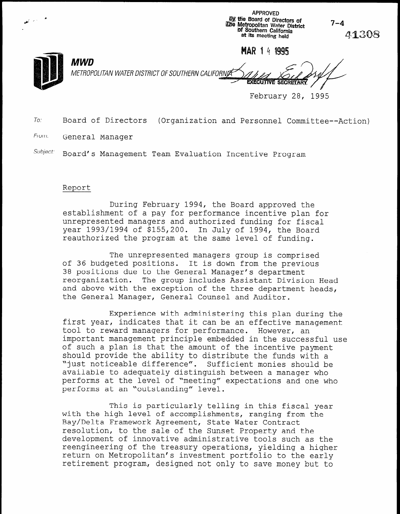| المتعجب المستعفظ | by the Board of Directors of<br>The Metropolitan Water District<br>of Southern California<br>at its meeting held               | $7 - 4$<br>41308 |
|------------------|--------------------------------------------------------------------------------------------------------------------------------|------------------|
|                  | MAR 14 1995                                                                                                                    |                  |
|                  | <b>MWD</b><br>METROPOLITAN WATER DISTRICT OF SOUTHERN CALIFORNIA<br><b>Contractor Contractor</b><br><b>EXECUTIVE SECRETARY</b> |                  |
|                  | February 28,                                                                                                                   | 1995             |

APPROVED

To: Board of Directors (Organization and Personnel Committee--Action)

From: General Manager

Subject: Board's Management Team Evaluation Incentive Program

## Report

During February 1994, the Board approved the establishment of a pay for performance incentive plan for unrepresented managers and authorized funding for fiscal year 1993/1994 of \$155,200. In July of 1994, the Board reauthorized the program at the same level of funding.

The unrepresented managers group is comprised of 36 budgeted positions. It is down from the previous 38 positions due to the General Manager's department reorganization. The group includes Assistant Division Head and above with the exception of the three department heads. and above with the exception of the three department heads,<br>the General Manager, General Counsel and Auditor.

Experience with administering this plan during the first plan during that is a be an experience with administering this plan during the first year, indicates that it can be an effective management tool to reward managers for performance. However, an important management principle embedded in the successful use of such a plan is that the amount of the incentive payment should provide the ability to distribute the funds with a "just noticeable difference". Sufficient monies should be available to adequately distinguish between a manager who performs at the level of "meeting" expectations and one who performs at an "outstanding" level.

This is particularly telling in this fiscal ye with the high level of accomplishments, ranging from the Bay/Delta Framework Agreement, State Water Contract resolution, to the sale of the Sunset Property and the development of innovative administrative tools such as the reengineering of the treasury operations, yielding a higher return on Metropolitan's investment portfolio to the early retirement program, designed not only to save money but to